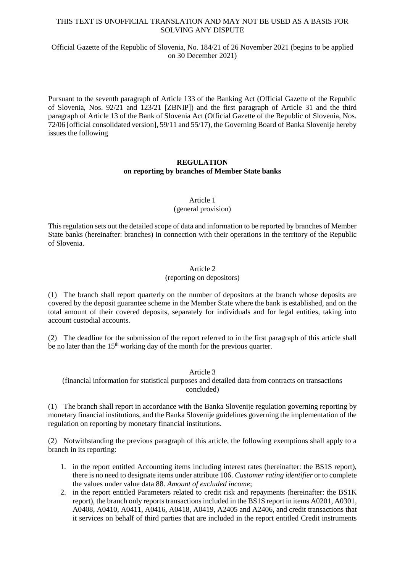## THIS TEXT IS UNOFFICIAL TRANSLATION AND MAY NOT BE USED AS A BASIS FOR SOLVING ANY DISPUTE

## Official Gazette of the Republic of Slovenia, No. 184/21 of 26 November 2021 (begins to be applied on 30 December 2021)

Pursuant to the seventh paragraph of Article 133 of the Banking Act (Official Gazette of the Republic of Slovenia, Nos. 92/21 and 123/21 [ZBNIP]) and the first paragraph of Article 31 and the third paragraph of Article 13 of the Bank of Slovenia Act (Official Gazette of the Republic of Slovenia, Nos. 72/06 [official consolidated version], 59/11 and 55/17), the Governing Board of Banka Slovenije hereby issues the following

## **REGULATION on reporting by branches of Member State banks**

## Article 1

## (general provision)

This regulation sets out the detailed scope of data and information to be reported by branches of Member State banks (hereinafter: branches) in connection with their operations in the territory of the Republic of Slovenia.

## Article 2

### (reporting on depositors)

(1) The branch shall report quarterly on the number of depositors at the branch whose deposits are covered by the deposit guarantee scheme in the Member State where the bank is established, and on the total amount of their covered deposits, separately for individuals and for legal entities, taking into account custodial accounts.

(2) The deadline for the submission of the report referred to in the first paragraph of this article shall be no later than the  $15<sup>th</sup>$  working day of the month for the previous quarter.

## Article 3

(financial information for statistical purposes and detailed data from contracts on transactions concluded)

(1) The branch shall report in accordance with the Banka Slovenije regulation governing reporting by monetary financial institutions, and the Banka Slovenije guidelines governing the implementation of the regulation on reporting by monetary financial institutions.

(2) Notwithstanding the previous paragraph of this article, the following exemptions shall apply to a branch in its reporting:

- 1. in the report entitled Accounting items including interest rates (hereinafter: the BS1S report), there is no need to designate items under attribute 106. *Customer rating identifier* or to complete the values under value data 88. *Amount of excluded income*;
- 2. in the report entitled Parameters related to credit risk and repayments (hereinafter: the BS1K report), the branch only reports transactions included in the BS1S report in items A0201, A0301, A0408, A0410, A0411, A0416, A0418, A0419, A2405 and A2406, and credit transactions that it services on behalf of third parties that are included in the report entitled Credit instruments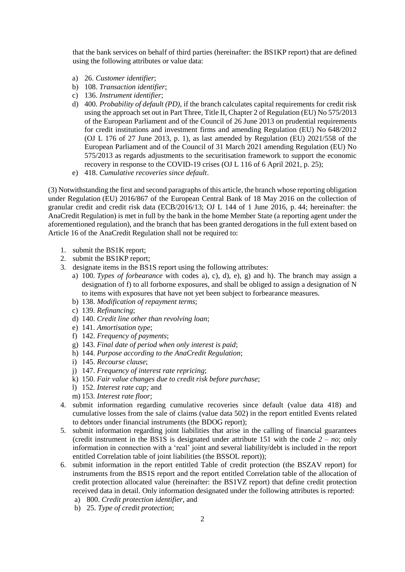that the bank services on behalf of third parties (hereinafter: the BS1KP report) that are defined using the following attributes or value data:

- a) 26. *Customer identifier*;
- b) 108. *Transaction identifier*;
- c) 136. *Instrument identifier*;
- d) 400. *Probability of default (PD)*, if the branch calculates capital requirements for credit risk using the approach set out in Part Three, Title II, Chapter 2 of Regulation (EU) No 575/2013 of the European Parliament and of the Council of 26 June 2013 on prudential requirements for credit institutions and investment firms and amending Regulation (EU) No 648/2012 (OJ L 176 of 27 June 2013, p. 1), as last amended by Regulation (EU) 2021/558 of the European Parliament and of the Council of 31 March 2021 amending Regulation (EU) No 575/2013 as regards adjustments to the securitisation framework to support the economic recovery in response to the COVID-19 crises (OJ L 116 of 6 April 2021, p. 25);
- e) 418. *Cumulative recoveries since default*.

(3) Notwithstanding the first and second paragraphs of this article, the branch whose reporting obligation under Regulation (EU) 2016/867 of the European Central Bank of 18 May 2016 on the collection of granular credit and credit risk data (ECB/2016/13; OJ L 144 of 1 June 2016, p. 44; hereinafter: the AnaCredit Regulation) is met in full by the bank in the home Member State (a reporting agent under the aforementioned regulation), and the branch that has been granted derogations in the full extent based on Article 16 of the AnaCredit Regulation shall not be required to:

- 1. submit the BS1K report;
- 2. submit the BS1KP report;
- 3. designate items in the BS1S report using the following attributes:
	- a) 100. *Types of forbearance* with codes a), c), d), e), g) and h). The branch may assign a designation of f) to all forborne exposures, and shall be obliged to assign a designation of N to items with exposures that have not yet been subject to forbearance measures.
	- b) 138. *Modification of repayment terms*;
	- c) 139. *Refinancing*;
	- d) 140. *Credit line other than revolving loan*;
	- e) 141. *Amortisation type*;
	- f) 142. *Frequency of payments*;
	- g) 143. *Final date of period when only interest is paid*;
	- h) 144. *Purpose according to the AnaCredit Regulation*;
	- i) 145. *Recourse clause*;
	- j) 147. *Frequency of interest rate repricing*;
	- k) 150. *Fair value changes due to credit risk before purchase*;
	- l) 152. *Interest rate cap;* and
	- m) 153. *Interest rate floor*;
- 4. submit information regarding cumulative recoveries since default (value data 418) and cumulative losses from the sale of claims (value data 502) in the report entitled Events related to debtors under financial instruments (the BDOG report);
- 5. submit information regarding joint liabilities that arise in the calling of financial guarantees (credit instrument in the BS1S is designated under attribute 151 with the code *2 – no*; only information in connection with a 'real' joint and several liability/debt is included in the report entitled Correlation table of joint liabilities (the BSSOL report));
- 6. submit information in the report entitled Table of credit protection (the BSZAV report) for instruments from the BS1S report and the report entitled Correlation table of the allocation of credit protection allocated value (hereinafter: the BS1VZ report) that define credit protection received data in detail. Only information designated under the following attributes is reported:
	- a) 800. *Credit protection identifier,* and
	- b) 25. *Type of credit protection*;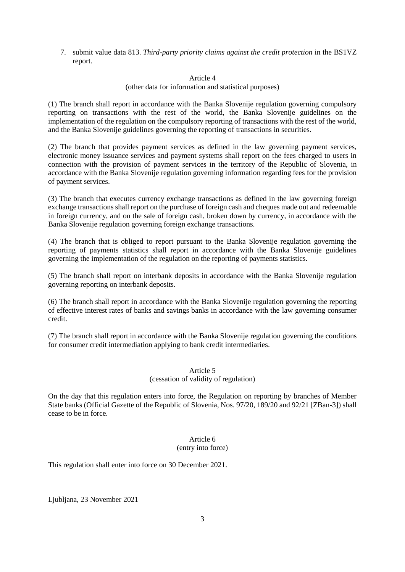7. submit value data 813. *Third-party priority claims against the credit protection* in the BS1VZ report.

### Article 4

#### (other data for information and statistical purposes)

(1) The branch shall report in accordance with the Banka Slovenije regulation governing compulsory reporting on transactions with the rest of the world, the Banka Slovenije guidelines on the implementation of the regulation on the compulsory reporting of transactions with the rest of the world, and the Banka Slovenije guidelines governing the reporting of transactions in securities.

(2) The branch that provides payment services as defined in the law governing payment services, electronic money issuance services and payment systems shall report on the fees charged to users in connection with the provision of payment services in the territory of the Republic of Slovenia, in accordance with the Banka Slovenije regulation governing information regarding fees for the provision of payment services.

(3) The branch that executes currency exchange transactions as defined in the law governing foreign exchange transactions shall report on the purchase of foreign cash and cheques made out and redeemable in foreign currency, and on the sale of foreign cash, broken down by currency, in accordance with the Banka Slovenije regulation governing foreign exchange transactions.

(4) The branch that is obliged to report pursuant to the Banka Slovenije regulation governing the reporting of payments statistics shall report in accordance with the Banka Slovenije guidelines governing the implementation of the regulation on the reporting of payments statistics.

(5) The branch shall report on interbank deposits in accordance with the Banka Slovenije regulation governing reporting on interbank deposits.

(6) The branch shall report in accordance with the Banka Slovenije regulation governing the reporting of effective interest rates of banks and savings banks in accordance with the law governing consumer credit.

(7) The branch shall report in accordance with the Banka Slovenije regulation governing the conditions for consumer credit intermediation applying to bank credit intermediaries.

## Article 5 (cessation of validity of regulation)

On the day that this regulation enters into force, the Regulation on reporting by branches of Member State banks (Official Gazette of the Republic of Slovenia, Nos. 97/20, 189/20 and 92/21 [ZBan-3]) shall cease to be in force.

# Article 6 (entry into force)

This regulation shall enter into force on 30 December 2021.

Ljubljana, 23 November 2021